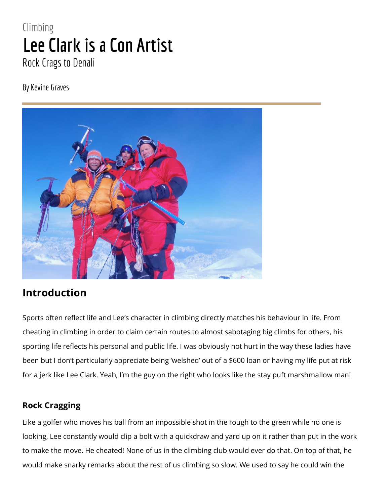# **Climbing Lee Clark is a Con Artist** Rock Crags to Denali

By Kevine Graves



# **Introduction**

Sports often reflect life and Lee's character in climbing directly matches his behaviour in life. From cheating in climbing in order to claim certain routes to almost sabotaging big climbs for others, his sporting life reflects his personal and public life. I was obviously not hurt in the way these ladies have been but I don't particularly appreciate being 'welshed' out of a \$600 loan or having my life put at risk for a jerk like Lee Clark. Yeah, I'm the guy on the right who looks like the stay puft marshmallow man!

## **Rock Cragging**

Like a golfer who moves his ball from an impossible shot in the rough to the green while no one is looking, Lee constantly would clip a bolt with a quickdraw and yard up on it rather than put in the work to make the move. He cheated! None of us in the climbing club would ever do that. On top of that, he would make snarky remarks about the rest of us climbing so slow. We used to say he could win the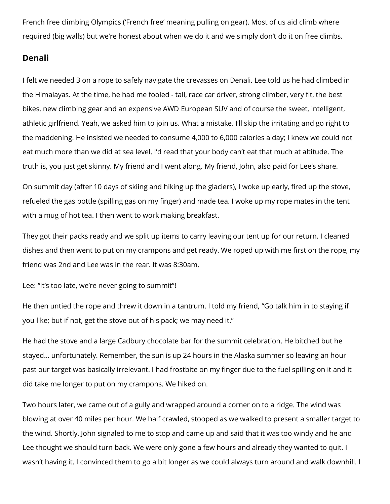French free climbing Olympics ('French free' meaning pulling on gear). Most of us aid climb where required (big walls) but we're honest about when we do it and we simply don't do it on free climbs.

## **Denali**

I felt we needed 3 on a rope to safely navigate the crevasses on Denali. Lee told us he had climbed in the Himalayas. At the time, he had me fooled - tall, race car driver, strong climber, very fit, the best bikes, new climbing gear and an expensive AWD European SUV and of course the sweet, intelligent, athletic girlfriend. Yeah, we asked him to join us. What a mistake. I'll skip the irritating and go right to the maddening. He insisted we needed to consume 4,000 to 6,000 calories a day; I knew we could not eat much more than we did at sea level. I'd read that your body can't eat that much at altitude. The truth is, you just get skinny. My friend and I went along. My friend, John, also paid for Lee's share.

On summit day (after 10 days of skiing and hiking up the glaciers), I woke up early, fired up the stove, refueled the gas bottle (spilling gas on my finger) and made tea. I woke up my rope mates in the tent with a mug of hot tea. I then went to work making breakfast.

They got their packs ready and we split up items to carry leaving our tent up for our return. I cleaned dishes and then went to put on my crampons and get ready. We roped up with me first on the rope, my friend was 2nd and Lee was in the rear. It was 8:30am.

Lee: "It's too late, we're never going to summit"!

He then untied the rope and threw it down in a tantrum. I told my friend, "Go talk him in to staying if you like; but if not, get the stove out of his pack; we may need it."

He had the stove and a large Cadbury chocolate bar for the summit celebration. He bitched but he stayed… unfortunately. Remember, the sun is up 24 hours in the Alaska summer so leaving an hour past our target was basically irrelevant. I had frostbite on my finger due to the fuel spilling on it and it did take me longer to put on my crampons. We hiked on.

Two hours later, we came out of a gully and wrapped around a corner on to a ridge. The wind was blowing at over 40 miles per hour. We half crawled, stooped as we walked to present a smaller target to the wind. Shortly, John signaled to me to stop and came up and said that it was too windy and he and Lee thought we should turn back. We were only gone a few hours and already they wanted to quit. I wasn't having it. I convinced them to go a bit longer as we could always turn around and walk downhill. I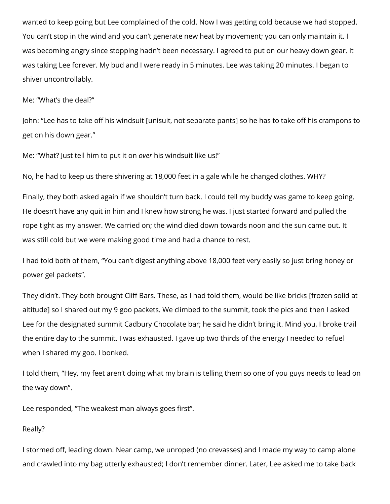wanted to keep going but Lee complained of the cold. Now I was getting cold because we had stopped. You can't stop in the wind and you can't generate new heat by movement; you can only maintain it. I was becoming angry since stopping hadn't been necessary. I agreed to put on our heavy down gear. It was taking Lee forever. My bud and I were ready in 5 minutes. Lee was taking 20 minutes. I began to shiver uncontrollably.

#### Me: "What's the deal?"

John: "Lee has to take off his windsuit [unisuit, not separate pants] so he has to take off his crampons to get on his down gear."

Me: "What? Just tell him to put it on *over* his windsuit like us!"

No, he had to keep us there shivering at 18,000 feet in a gale while he changed clothes. WHY?

Finally, they both asked again if we shouldn't turn back. I could tell my buddy was game to keep going. He doesn't have any quit in him and I knew how strong he was. I just started forward and pulled the rope tight as my answer. We carried on; the wind died down towards noon and the sun came out. It was still cold but we were making good time and had a chance to rest.

I had told both of them, "You can't digest anything above 18,000 feet very easily so just bring honey or power gel packets".

They didn't. They both brought Cliff Bars. These, as I had told them, would be like bricks [frozen solid at altitude] so I shared out my 9 goo packets. We climbed to the summit, took the pics and then I asked Lee for the designated summit Cadbury Chocolate bar; he said he didn't bring it. Mind you, I broke trail the entire day to the summit. I was exhausted. I gave up two thirds of the energy I needed to refuel when I shared my goo. I bonked.

I told them, "Hey, my feet aren't doing what my brain is telling them so one of you guys needs to lead on the way down".

Lee responded, "The weakest man always goes first".

### Really?

I stormed off, leading down. Near camp, we unroped (no crevasses) and I made my way to camp alone and crawled into my bag utterly exhausted; I don't remember dinner. Later, Lee asked me to take back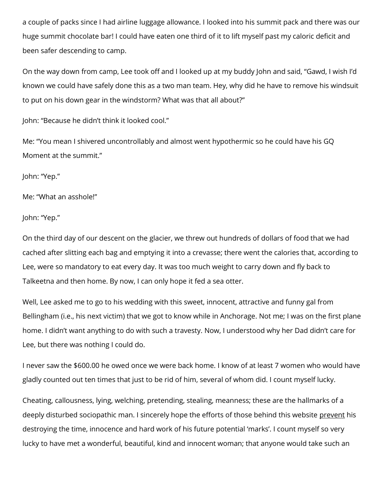a couple of packs since I had airline luggage allowance. I looked into his summit pack and there was our huge summit chocolate bar! I could have eaten one third of it to lift myself past my caloric deficit and been safer descending to camp.

On the way down from camp, Lee took off and I looked up at my buddy John and said, "Gawd, I wish I'd known we could have safely done this as a two man team. Hey, why did he have to remove his windsuit to put on his down gear in the windstorm? What was that all about?"

John: "Because he didn't think it looked cool."

Me: "You mean I shivered uncontrollably and almost went hypothermic so he could have his GQ Moment at the summit."

John: "Yep."

Me: "What an asshole!"

John: "Yep."

On the third day of our descent on the glacier, we threw out hundreds of dollars of food that we had cached after slitting each bag and emptying it into a crevasse; there went the calories that, according to Lee, were so mandatory to eat every day. It was too much weight to carry down and fly back to Talkeetna and then home. By now, I can only hope it fed a sea otter.

Well, Lee asked me to go to his wedding with this sweet, innocent, attractive and funny gal from Bellingham (i.e., his next victim) that we got to know while in Anchorage. Not me; I was on the first plane home. I didn't want anything to do with such a travesty. Now, I understood why her Dad didn't care for Lee, but there was nothing I could do.

I never saw the \$600.00 he owed once we were back home. I know of at least 7 women who would have gladly counted out ten times that just to be rid of him, several of whom did. I count myself lucky.

Cheating, callousness, lying, welching, pretending, stealing, meanness; these are the hallmarks of a deeply disturbed sociopathic man. I sincerely hope the efforts of those behind this website prevent his destroying the time, innocence and hard work of his future potential 'marks'. I count myself so very lucky to have met a wonderful, beautiful, kind and innocent woman; that anyone would take such an